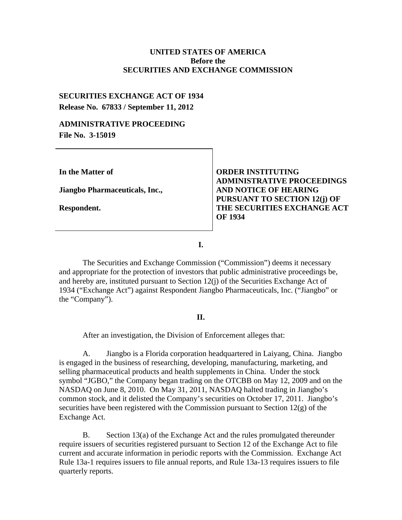### **UNITED STATES OF AMERICA Before the SECURITIES AND EXCHANGE COMMISSION**

# **SECURITIES EXCHANGE ACT OF 1934 Release No. 67833 / September 11, 2012**

## **ADMINISTRATIVE PROCEEDING File No. 3-15019**

**In the Matter of**

**Jiangbo Pharmaceuticals, Inc.,**

**Respondent.**

**ORDER INSTITUTING ADMINISTRATIVE PROCEEDINGS AND NOTICE OF HEARING PURSUANT TO SECTION 12(j) OF THE SECURITIES EXCHANGE ACT OF 1934**

**I.**

The Securities and Exchange Commission ("Commission") deems it necessary and appropriate for the protection of investors that public administrative proceedings be, and hereby are, instituted pursuant to Section 12(j) of the Securities Exchange Act of 1934 ("Exchange Act") against Respondent Jiangbo Pharmaceuticals, Inc. ("Jiangbo" or the "Company").

#### **II.**

After an investigation, the Division of Enforcement alleges that:

A. Jiangbo is a Florida corporation headquartered in Laiyang, China. Jiangbo is engaged in the business of researching, developing, manufacturing, marketing, and selling pharmaceutical products and health supplements in China. Under the stock symbol "JGBO," the Company began trading on the OTCBB on May 12, 2009 and on the NASDAQ on June 8, 2010. On May 31, 2011, NASDAQ halted trading in Jiangbo's common stock, and it delisted the Company's securities on October 17, 2011. Jiangbo's securities have been registered with the Commission pursuant to Section  $12(g)$  of the Exchange Act.

B. Section 13(a) of the Exchange Act and the rules promulgated thereunder require issuers of securities registered pursuant to Section 12 of the Exchange Act to file current and accurate information in periodic reports with the Commission. Exchange Act Rule 13a-1 requires issuers to file annual reports, and Rule 13a-13 requires issuers to file quarterly reports.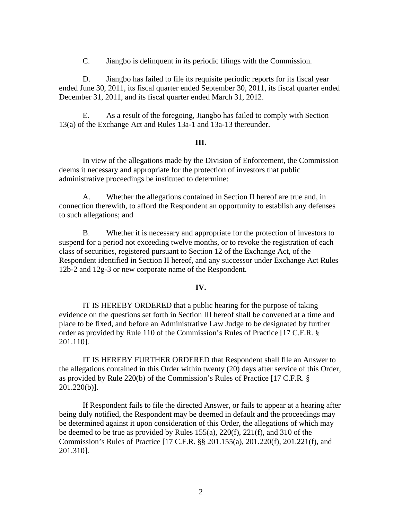C. Jiangbo is delinquent in its periodic filings with the Commission.

D. Jiangbo has failed to file its requisite periodic reports for its fiscal year ended June 30, 2011, its fiscal quarter ended September 30, 2011, its fiscal quarter ended December 31, 2011, and its fiscal quarter ended March 31, 2012.

E. As a result of the foregoing, Jiangbo has failed to comply with Section 13(a) of the Exchange Act and Rules 13a-1 and 13a-13 thereunder.

#### **III.**

In view of the allegations made by the Division of Enforcement, the Commission deems it necessary and appropriate for the protection of investors that public administrative proceedings be instituted to determine:

A. Whether the allegations contained in Section II hereof are true and, in connection therewith, to afford the Respondent an opportunity to establish any defenses to such allegations; and

B. Whether it is necessary and appropriate for the protection of investors to suspend for a period not exceeding twelve months, or to revoke the registration of each class of securities, registered pursuant to Section 12 of the Exchange Act, of the Respondent identified in Section II hereof, and any successor under Exchange Act Rules 12b-2 and 12g-3 or new corporate name of the Respondent.

#### **IV.**

IT IS HEREBY ORDERED that a public hearing for the purpose of taking evidence on the questions set forth in Section III hereof shall be convened at a time and place to be fixed, and before an Administrative Law Judge to be designated by further order as provided by Rule 110 of the Commission's Rules of Practice [17 C.F.R. § 201.110].

IT IS HEREBY FURTHER ORDERED that Respondent shall file an Answer to the allegations contained in this Order within twenty (20) days after service of this Order, as provided by Rule 220(b) of the Commission's Rules of Practice [17 C.F.R. § 201.220(b)].

If Respondent fails to file the directed Answer, or fails to appear at a hearing after being duly notified, the Respondent may be deemed in default and the proceedings may be determined against it upon consideration of this Order, the allegations of which may be deemed to be true as provided by Rules 155(a), 220(f), 221(f), and 310 of the Commission's Rules of Practice [17 C.F.R. §§ 201.155(a), 201.220(f), 201.221(f), and 201.310].